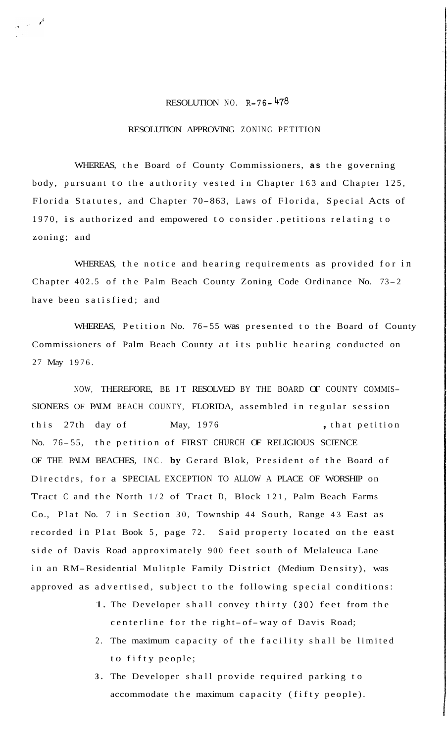## RESOLUTION NO. R-76- 478

## RESOLUTION APPROVING ZONING PETITION

WHEREAS, the Board of County Commissioners, **as** the governing body, pursuant to the authority vested in Chapter 163 and Chapter 125, Florida Statutes, and Chapter 70-863, Laws of Florida, Special Acts of 1970, is authorized and empowered to consider .petitions relating to zoning; and

WHEREAS, the notice and hearing requirements as provided for in Chapter 402.5 of the Palm Beach County Zoning Code Ordinance No. 73- <sup>2</sup> have been satisfied; and

WHEREAS, Petition No. 76-55 was presented to the Board of County Commissioners of Palm Beach County at its public hearing conducted on 27 May 1976.

NOW, THEREFORE, BE IT RESOLVED BY THE BOARD OF COUNTY COMMIS-SIONERS OF PALM BEACH COUNTY, FLORIDA, assembled in regular session this 27th day of May, 1976 , that petition No. 76- 55, the petition of FIRST CHURCH OF RELIGIOUS SCIENCE OF THE PALM BEACHES, INC. **by** Gerard Blok, President of the Board of Directdrs, for a SPECIAL EXCEPTION TO ALLOW A PLACE OF WORSHIP on Tract C and the North 1/2 of Tract D, Block 121, Palm Beach Farms Co., Plat No. 7 in Section 30, Township 44 South, Range 43 East as recorded in Plat Book 5, page 72. Said property located on the east side of Davis Road approximately 900 feet south of Melaleuca Lane in an RM-Residential Mulitple Family District (Medium Density), was approved as advertised, subject to the following special conditions:

- 1. The Developer shall convey thirty (30) feet from the centerline for the right-of-way of Davis Road;
- 2. The maximum capacity of the facility shall be limited to fifty people;
- **3.** The Developer shall provide required parking to accommodate the maximum capacity (fifty people).